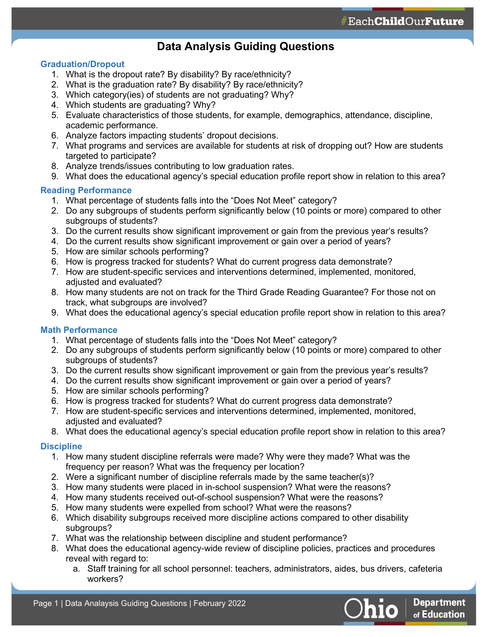## **Data Analysis Guiding Questions**

### **Graduation/Dropout**

- 1. What is the dropout rate? By disability? By race/ethnicity?
- 2. What is the graduation rate? By disability? By race/ethnicity?
- 3. Which category(ies) of students are not graduating? Why?
- 4. Which students are graduating? Why?
- 5. Evaluate characteristics of those students, for example, demographics, attendance, discipline, academic performance.
- 6. Analyze factors impacting students' dropout decisions.
- 7. What programs and services are available for students at risk of dropping out? How are students targeted to participate?
- 8. Analyze trends/issues contributing to low graduation rates.
- 9. What does the educational agency's special education profile report show in relation to this area?

#### **Reading Performance**

- 1. What percentage of students falls into the "Does Not Meet" category?
- 2. Do any subgroups of students perform significantly below (10 points or more) compared to other subgroups of students?
- 3. Do the current results show significant improvement or gain from the previous year's results?
- 4. Do the current results show significant improvement or gain over a period of years?
- 5. How are similar schools performing?
- 6. How is progress tracked for students? What do current progress data demonstrate?
- 7. How are student-specific services and interventions determined, implemented, monitored, adjusted and evaluated?
- 8. How many students are not on track for the Third Grade Reading Guarantee? For those not on track, what subgroups are involved?
- 9. What does the educational agency's special education profile report show in relation to this area?

## **Math Performance**

- 1. What percentage of students falls into the "Does Not Meet" category?
- 2. Do any subgroups of students perform significantly below (10 points or more) compared to other subgroups of students?
- 3. Do the current results show significant improvement or gain from the previous year's results?
- 4. Do the current results show significant improvement or gain over a period of years?
- 5. How are similar schools performing?
- 6. How is progress tracked for students? What do current progress data demonstrate?
- 7. How are student-specific services and interventions determined, implemented, monitored, adjusted and evaluated?
- 8. What does the educational agency's special education profile report show in relation to this area?

## **Discipline**

- 1. How many student discipline referrals were made? Why were they made? What was the frequency per reason? What was the frequency per location?
- 2. Were a significant number of discipline referrals made by the same teacher(s)?
- 3. How many students were placed in in-school suspension? What were the reasons?
- 4. How many students received out-of-school suspension? What were the reasons?
- 5. How many students were expelled from school? What were the reasons?
- 6. Which disability subgroups received more discipline actions compared to other disability subgroups?
- 7. What was the relationship between discipline and student performance?
- 8. What does the educational agency-wide review of discipline policies, practices and procedures reveal with regard to:
	- a. Staff training for all school personnel: teachers, administrators, aides, bus drivers, cafeteria workers?

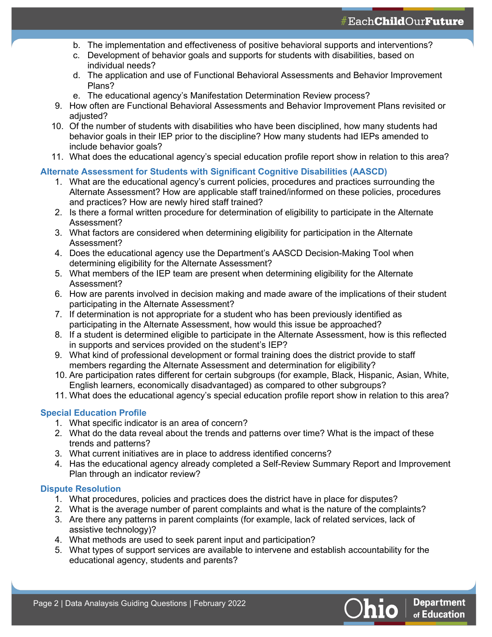- b. The implementation and effectiveness of positive behavioral supports and interventions?
- c. Development of behavior goals and supports for students with disabilities, based on individual needs?
- d. The application and use of Functional Behavioral Assessments and Behavior Improvement Plans?
- e. The educational agency's Manifestation Determination Review process?
- 9. How often are Functional Behavioral Assessments and Behavior Improvement Plans revisited or adjusted?
- 10. Of the number of students with disabilities who have been disciplined, how many students had behavior goals in their IEP prior to the discipline? How many students had IEPs amended to include behavior goals?
- 11. What does the educational agency's special education profile report show in relation to this area?

#### **Alternate Assessment for Students with Significant Cognitive Disabilities (AASCD)**

- 1. What are the educational agency's current policies, procedures and practices surrounding the Alternate Assessment? How are applicable staff trained/informed on these policies, procedures and practices? How are newly hired staff trained?
- 2. Is there a formal written procedure for determination of eligibility to participate in the Alternate Assessment?
- 3. What factors are considered when determining eligibility for participation in the Alternate Assessment?
- 4. Does the educational agency use the Department's AASCD Decision-Making Tool when determining eligibility for the Alternate Assessment?
- 5. What members of the IEP team are present when determining eligibility for the Alternate Assessment?
- 6. How are parents involved in decision making and made aware of the implications of their student participating in the Alternate Assessment?
- 7. If determination is not appropriate for a student who has been previously identified as participating in the Alternate Assessment, how would this issue be approached?
- 8. If a student is determined eligible to participate in the Alternate Assessment, how is this reflected in supports and services provided on the student's IEP?
- 9. What kind of professional development or formal training does the district provide to staff members regarding the Alternate Assessment and determination for eligibility?
- 10. Are participation rates different for certain subgroups (for example, Black, Hispanic, Asian, White, English learners, economically disadvantaged) as compared to other subgroups?
- 11. What does the educational agency's special education profile report show in relation to this area?

## **Special Education Profile**

- 1. What specific indicator is an area of concern?
- 2. What do the data reveal about the trends and patterns over time? What is the impact of these trends and patterns?
- 3. What current initiatives are in place to address identified concerns?
- 4. Has the educational agency already completed a Self-Review Summary Report and Improvement Plan through an indicator review?

## **Dispute Resolution**

- 1. What procedures, policies and practices does the district have in place for disputes?
- 2. What is the average number of parent complaints and what is the nature of the complaints?
- 3. Are there any patterns in parent complaints (for example, lack of related services, lack of assistive technology)?
- 4. What methods are used to seek parent input and participation?
- 5. What types of support services are available to intervene and establish accountability for the educational agency, students and parents?

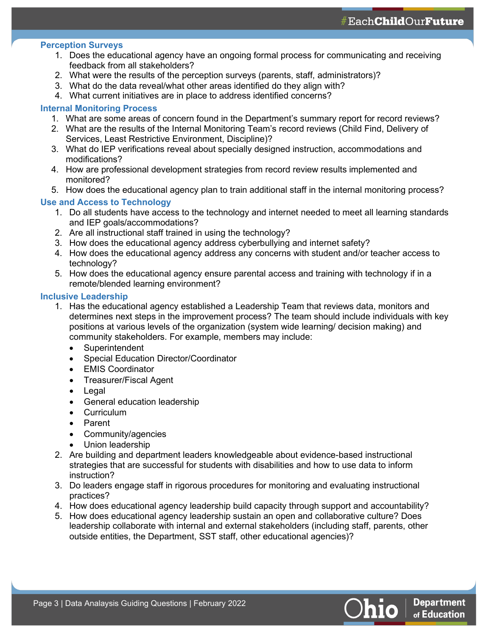## **Perception Surveys**

- 1. Does the educational agency have an ongoing formal process for communicating and receiving feedback from all stakeholders?
- 2. What were the results of the perception surveys (parents, staff, administrators)?
- 3. What do the data reveal/what other areas identified do they align with?
- 4. What current initiatives are in place to address identified concerns?

## **Internal Monitoring Process**

- 1. What are some areas of concern found in the Department's summary report for record reviews?
- 2. What are the results of the Internal Monitoring Team's record reviews (Child Find, Delivery of Services, Least Restrictive Environment, Discipline)?
- 3. What do IEP verifications reveal about specially designed instruction, accommodations and modifications?
- 4. How are professional development strategies from record review results implemented and monitored?
- 5. How does the educational agency plan to train additional staff in the internal monitoring process?

## **Use and Access to Technology**

- 1. Do all students have access to the technology and internet needed to meet all learning standards and IEP goals/accommodations?
- 2. Are all instructional staff trained in using the technology?
- 3. How does the educational agency address cyberbullying and internet safety?
- 4. How does the educational agency address any concerns with student and/or teacher access to technology?
- 5. How does the educational agency ensure parental access and training with technology if in a remote/blended learning environment?

#### **Inclusive Leadership**

- 1. Has the educational agency established a Leadership Team that reviews data, monitors and determines next steps in the improvement process? The team should include individuals with key positions at various levels of the organization (system wide learning/ decision making) and community stakeholders. For example, members may include:
	- **Superintendent**
	- Special Education Director/Coordinator
	- EMIS Coordinator
	- Treasurer/Fiscal Agent
	- **Legal**
	- General education leadership
	- **Curriculum**
	- Parent
	- Community/agencies
	- Union leadership
- 2. Are building and department leaders knowledgeable about evidence-based instructional strategies that are successful for students with disabilities and how to use data to inform instruction?
- 3. Do leaders engage staff in rigorous procedures for monitoring and evaluating instructional practices?
- 4. How does educational agency leadership build capacity through support and accountability?
- 5. How does educational agency leadership sustain an open and collaborative culture? Does leadership collaborate with internal and external stakeholders (including staff, parents, other outside entities, the Department, SST staff, other educational agencies)?

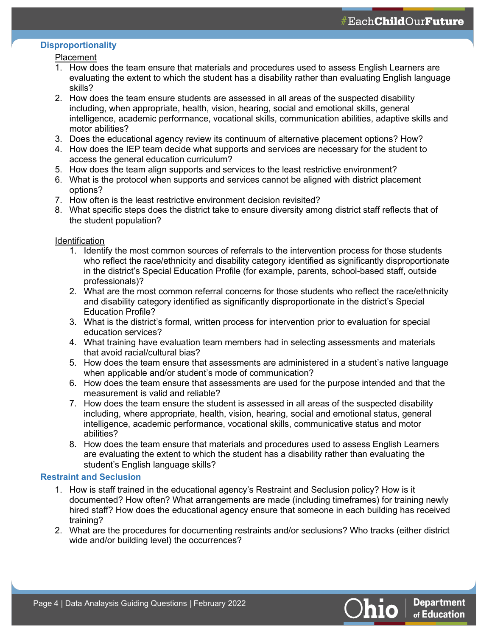## **Disproportionality**

#### Placement

- 1. How does the team ensure that materials and procedures used to assess English Learners are evaluating the extent to which the student has a disability rather than evaluating English language skills?
- 2. How does the team ensure students are assessed in all areas of the suspected disability including, when appropriate, health, vision, hearing, social and emotional skills, general intelligence, academic performance, vocational skills, communication abilities, adaptive skills and motor abilities?
- 3. Does the educational agency review its continuum of alternative placement options? How?
- 4. How does the IEP team decide what supports and services are necessary for the student to access the general education curriculum?
- 5. How does the team align supports and services to the least restrictive environment?
- 6. What is the protocol when supports and services cannot be aligned with district placement options?
- 7. How often is the least restrictive environment decision revisited?
- 8. What specific steps does the district take to ensure diversity among district staff reflects that of the student population?

## Identification

- 1. Identify the most common sources of referrals to the intervention process for those students who reflect the race/ethnicity and disability category identified as significantly disproportionate in the district's Special Education Profile (for example, parents, school-based staff, outside professionals)?
- 2. What are the most common referral concerns for those students who reflect the race/ethnicity and disability category identified as significantly disproportionate in the district's Special Education Profile?
- 3. What is the district's formal, written process for intervention prior to evaluation for special education services?
- 4. What training have evaluation team members had in selecting assessments and materials that avoid racial/cultural bias?
- 5. How does the team ensure that assessments are administered in a student's native language when applicable and/or student's mode of communication?
- 6. How does the team ensure that assessments are used for the purpose intended and that the measurement is valid and reliable?
- 7. How does the team ensure the student is assessed in all areas of the suspected disability including, where appropriate, health, vision, hearing, social and emotional status, general intelligence, academic performance, vocational skills, communicative status and motor abilities?
- 8. How does the team ensure that materials and procedures used to assess English Learners are evaluating the extent to which the student has a disability rather than evaluating the student's English language skills?

## **Restraint and Seclusion**

- 1. How is staff trained in the educational agency's Restraint and Seclusion policy? How is it documented? How often? What arrangements are made (including timeframes) for training newly hired staff? How does the educational agency ensure that someone in each building has received training?
- 2. What are the procedures for documenting restraints and/or seclusions? Who tracks (either district wide and/or building level) the occurrences?

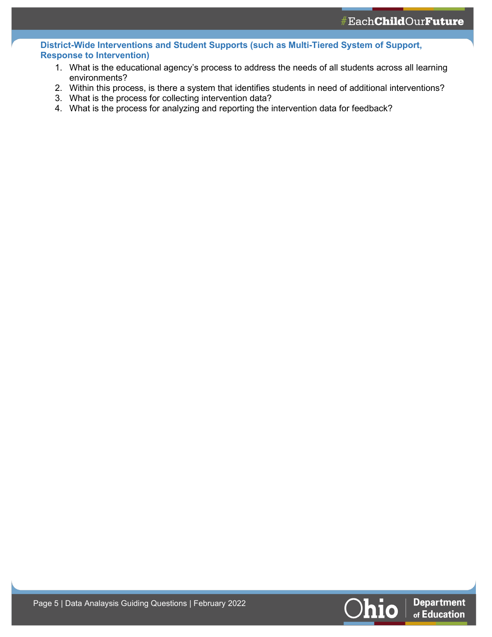**District-Wide Interventions and Student Supports (such as Multi-Tiered System of Support, Response to Intervention)**

- 1. What is the educational agency's process to address the needs of all students across all learning environments?
- 2. Within this process, is there a system that identifies students in need of additional interventions?
- 3. What is the process for collecting intervention data?
- 4. What is the process for analyzing and reporting the intervention data for feedback?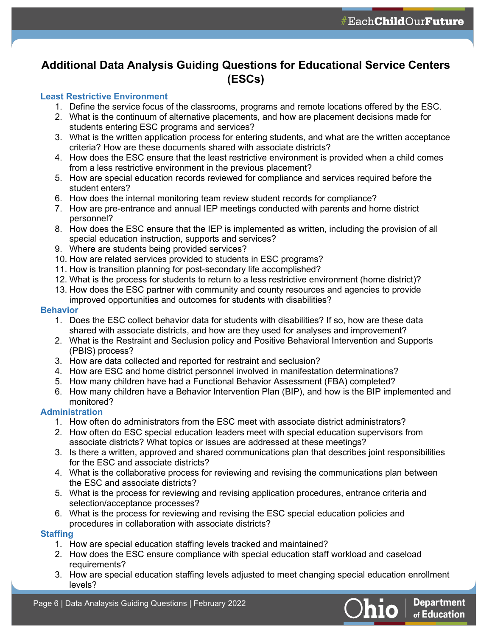## **Additional Data Analysis Guiding Questions for Educational Service Centers (ESCs)**

#### **Least Restrictive Environment**

- 1. Define the service focus of the classrooms, programs and remote locations offered by the ESC.
- 2. What is the continuum of alternative placements, and how are placement decisions made for students entering ESC programs and services?
- 3. What is the written application process for entering students, and what are the written acceptance criteria? How are these documents shared with associate districts?
- 4. How does the ESC ensure that the least restrictive environment is provided when a child comes from a less restrictive environment in the previous placement?
- 5. How are special education records reviewed for compliance and services required before the student enters?
- 6. How does the internal monitoring team review student records for compliance?
- 7. How are pre-entrance and annual IEP meetings conducted with parents and home district personnel?
- 8. How does the ESC ensure that the IEP is implemented as written, including the provision of all special education instruction, supports and services?
- 9. Where are students being provided services?
- 10. How are related services provided to students in ESC programs?
- 11. How is transition planning for post-secondary life accomplished?
- 12. What is the process for students to return to a less restrictive environment (home district)?
- 13. How does the ESC partner with community and county resources and agencies to provide improved opportunities and outcomes for students with disabilities?

#### **Behavior**

- 1. Does the ESC collect behavior data for students with disabilities? If so, how are these data shared with associate districts, and how are they used for analyses and improvement?
- 2. What is the Restraint and Seclusion policy and Positive Behavioral Intervention and Supports (PBIS) process?
- 3. How are data collected and reported for restraint and seclusion?
- 4. How are ESC and home district personnel involved in manifestation determinations?
- 5. How many children have had a Functional Behavior Assessment (FBA) completed?
- 6. How many children have a Behavior Intervention Plan (BIP), and how is the BIP implemented and monitored?

## **Administration**

- 1. How often do administrators from the ESC meet with associate district administrators?
- 2. How often do ESC special education leaders meet with special education supervisors from associate districts? What topics or issues are addressed at these meetings?
- 3. Is there a written, approved and shared communications plan that describes joint responsibilities for the ESC and associate districts?
- 4. What is the collaborative process for reviewing and revising the communications plan between the ESC and associate districts?
- 5. What is the process for reviewing and revising application procedures, entrance criteria and selection/acceptance processes?
- 6. What is the process for reviewing and revising the ESC special education policies and procedures in collaboration with associate districts?

## **Staffing**

- 1. How are special education staffing levels tracked and maintained?
- 2. How does the ESC ensure compliance with special education staff workload and caseload requirements?
- 3. How are special education staffing levels adjusted to meet changing special education enrollment levels?